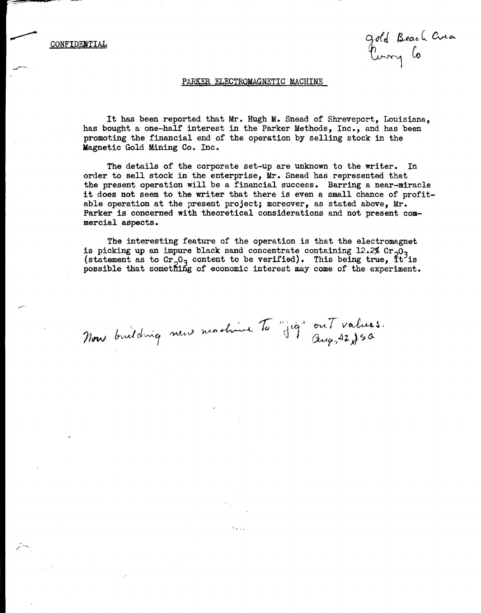CONFIDENTIAL

gold Beach Crea

#### PARKER ELECTROMAGNETIC MACHINE

It has been reported that Mr. Hugh M. Snead of Shreveport, Louisiana, has bought a one-half interest in the Parker Methods, Inc., and has been promoting the financial end of the operation by selling stock in the **Magnetic** Gold Mining Co. Inc.

The details of the corporate set-up are unknown to the writer. In order to sell stock in the enterprise, Mr. Snead has represented that the present operation will be a financial success. Barring a near-miracle it does not seem to the writer that there is even a small chance of profitable operation at the present project; moreover, as stated above, Mr. Parker is concerned with theoretical considerations and not present commercial aspects.

The interesting feature of the operation is that the electromagnet is picking up an impure black sand concentrate containing 12.2% Cr<sub>2</sub>O<sub>3</sub> (statement as to Cr<sub>2</sub>O<sub>3</sub> content to be verified). This being true, It is possible that something of economic interest may come of the experiment.

ou $7$  values. *~r.,4Z)* ~ *l\.*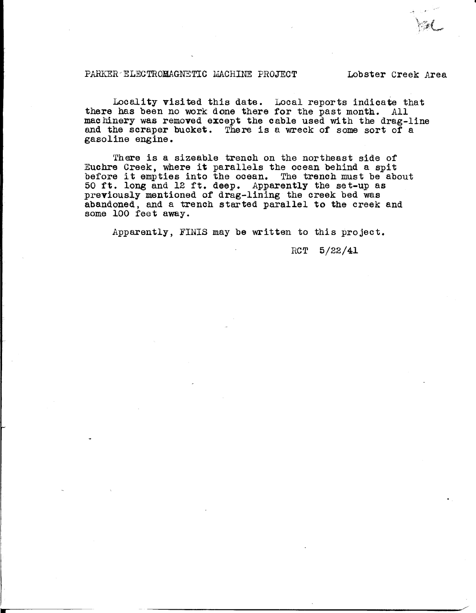# PARKER-ELECTROMAGNETIC MACHINE PROJECT Lobster Creek Area

•

Locality visited this date. Local reports indicate that there has been no work done there for the past month. All machinery was removed except the cable used with the drag-line and the scraper bucket. There is a wreck of some sort of a gasoline engine.

There is a sizeable trench on the northeast side of Euchre Creek, where it parallels the ocean behind a spit Euchre Creek, where it parallels the ocean behind a spit before it empties into the ocean. The trench must be about 50 ft. long and 12 ft. deep. Apparently the set-up as previously mentioned of drag-lining the creek bed was abandoned, and a trench started parallel to the creek and some 100 feet away.

Apparently, FINIS may be written to this project.

RCT 5/22/41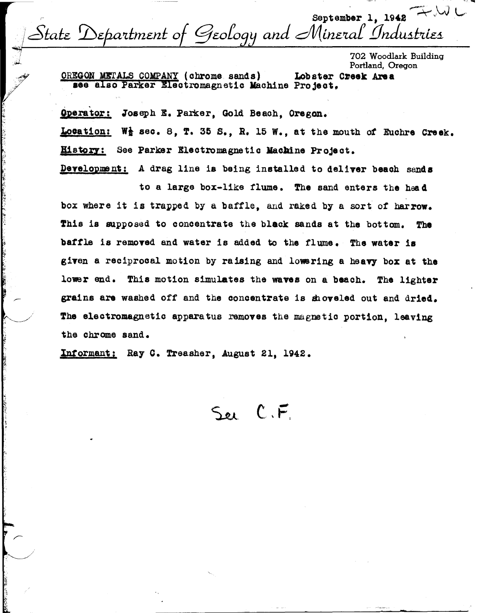September 1, 1942  $\rightarrow$  W State Department of Geology and Mineral Industries

702 Woodlark Building Portland, Oregon

OREGON METALS COMPANY (chrome sands) Lobster Creek Area see also Parker Electromagnetic Machine Project.

Operator: Joseph E. Parker, Gold Beach, Oregon. Location: W} sec. 8, T. 35 S., R. 15 W., at the mouth of Euchre Creek. History: See Parker Electromagnetic Machine Project.

Development: A drag line is being installed to deliver beach sands

to a large box-like flume. The sand enters the head box where it is trapped by a baffle, and raked by a sort of harrow. This is supposed to concentrate the black sands at the bottom. The baffle is removed and water is added to the flume. The water is given a reciprocal motion by raising and lowering a heavy box at the lower end. This motion simulates the waves on a beach. The lighter grains are washed off and the concentrate is shoveled out and dried. The electromagnetic apparatus removes the magnetic portion, leaving the chrome sand.

Informant: Ray C. Treasher, August 21, 1942.

See C.F.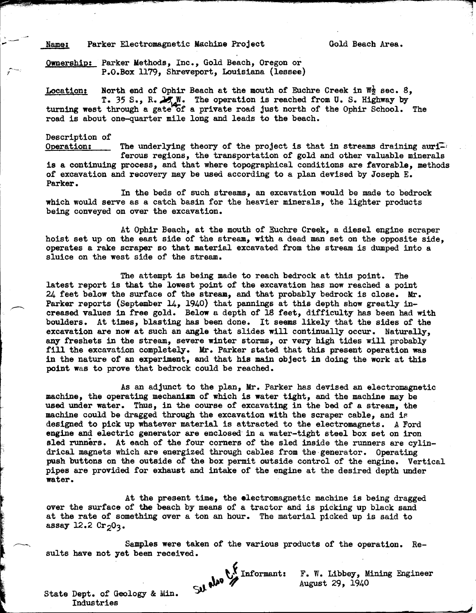# Name: Parker Electromagnetic Machine Project Gold Beach Area.

Ownership: Parker Methods, Inc., Gold Beach, Oregon or P.O.Box ll79, Shreveport, Louisiana (lessee)

Location: North end of Ophir Beach at the mouth of Euchre Creek in  $W^{\frac{1}{2}}$  sec. 8, T. 35 S., R. M.W. The operation is reached from U.S. Highway by turning west through a gate of a private road just north of the Ophir School. The road is about one-quarter mile long and leads to the beach.

**llriiiil.lllll!ll.~~!!!!Ql!, .. 1!1-IIJ,lll!S&!ilii!¥1ii&-tti!ISIIJ.l!lll!!!lll!J.11!!19& 111111 ..&11111111. -11111!11!1!!!!'\"""·..,.,..,,,** O!i:•-~----~-.....,,..--~-s---•s!!!!. **----ll!l!!l!!!ll!ll!lll!l!!lllll!ll!!'!"""---,,..,,-c---~** ---~

#### Description of

I

Operation: The underlying theory of the project is that in streams draining  $\text{auri}$ . ferous regions, the transportation of gold and other valuable minerals is a continuing process, and that where topographical conditions are favorable, methods of excavation and recovery may be used according to a plan devised by Joseph E. Parker.

In the beds of such streams, an excavation would be made to bedrock **which** would serve as a catch basin for the heavier minerals, the lighter products being conveyed on over the excavation.

At Ophir Beach, at the mouth of Euchre Creek, a diesel engine scraper hoist set up on the east side of the stream, with a dead man set on the opposite side, operates a rake scraper so that material excavated from the stream is dumped into a sluice on the west side of the stream.

The attempt is being made to reach bedrock at this point. The latest report is that the lowest point of the excavation has now reached a point 24 feet below the surface of the stream, and that probably bedrock is close. Mr. Parker reports (September 14, 1940) that pannings at this depth show greatly increased values in free gold. Below a depth of 18 feet, difficulty has been bad with boulders. At times, blasting has been done. It seems likely that the sides of the excavation are now at such an angle that slides will continually occur. Naturally, any freshets in the stream, severe winter storms, or very high tides will probably fill the excavation completely. Mr. Parker stated that this present operation was in the nature of an experiment, and that his main object in doing the work at this point was to prove that bedrock could be reached.

As an adjunct to the plan, Mr. Parker has devised an electromagnetic machine, the operating mechanism of which is water tight, and the machine may be used under water. Thus, in the course of excavating in the bed of a stream, the machine could be dragged through the excavation with the scraper cable, and is designed to pick up whatever material is attracted to the electromagnets. A Ford **engine** and electric generator are enclosed' in a water-tight steel box set on iron sled runners. At each of the four corners of the sled inside the runners are cylindrical magnets which are energized through cables from the-generator. Operating push buttons on the outside of the box permit outside control of the engine. Vertical pipes are provided for exhaust and intake of the engine at the desired depth under **water.** 

At the present time, the electromagnetic machine is being dragged over the surface of the beach by means of a tractor and is picking up black sand at the rate of something over a ton an hour. The material picked up is said to assay  $12.2$  Cr<sub>2</sub>0<sub>3</sub>.

Samples were taken of the various products of the operation. Results have not yet been received.

 $\mathcal{L}^{\mathcal{N}}$  Informant: 51).

F. W. Libbey, Mining Engineer August 29, 1940

State Dept. or Geology & Min. Industries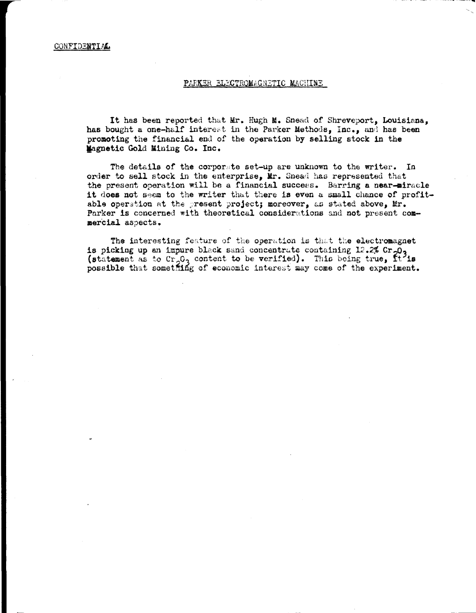# PARKER ELECTROMAGNETIC MACHINE

It has been reported that Mr. Hugh M. Snead of Shreveport, Louisiana, has bought a one-half interest in the Parker Methods, Inc., and has been promoting the financial end of the operation by selling stock in the Magnetic Gold Mining Co. Inc.

The details of the corporate set-up are unknown to the writer. In order to sell stock in the enterprise, Mr. Snead has represented that the present operation will be a financial success. Barring a near-miracle it does not seem to the writer that there is even a small chance of profitable operation at the present project; moreover, as stated above, Mr. Parker is concerned with theoretical considerations and not present commercial aspects.

The interesting feature of the operation is that the electromagnet is picking up an impure black sand concentrate containing 12.2% Cr<sub>203</sub> (statement as to Cr<sub>2</sub>0<sub>3</sub> content to be verified). This being true, it is possible that something of economic interest may come of the experiment.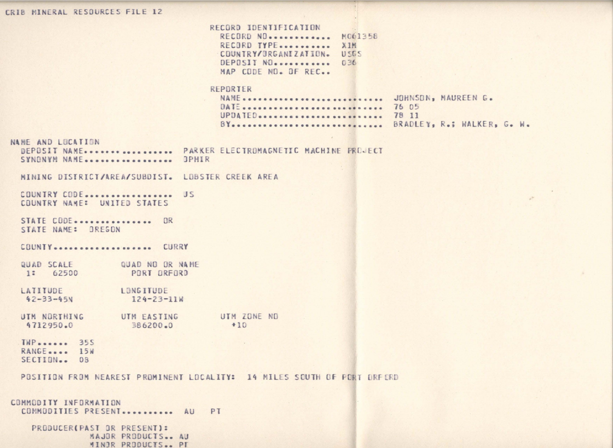## CRIB MINERAL RESOURCES FILE 12

RECORD IDENTIFICATION RECORD NO............. M061358 RECORD TYPE........... XIM COUNTRY/BRGANIZATION. USGS DEPOSIT NO. ........... 036 MAP CODE ND. OF REC..

### REPORTER

| DATE  76 05                                               |  |
|-----------------------------------------------------------|--|
| UPDATED 78 11                                             |  |
| BYoscoccoccoccoccoccoccoccoccoc BRADLEY, Roy WALKER, Go W |  |

### NAME AND LOCATION

|  | SYNONYM NAME OPHIR |  |  |
|--|--------------------|--|--|

MINING DISTRICT/AREA/SUBDIST. LOBSTER CREEK AREA

COUNTRY CODE ................... US COUNTRY NAME: UNITED STATES

STATE CODE................ OR STATE NAME: OREGON

COUNTY ................... CURRY

- QUAD SCALE QUAD NO OR NAME 1: 62500 PORT ORFORD
- LATITUDE LONGITUDE  $42 - 33 - 45N$  $124 - 23 - 11W$
- UTM NORTHING UTM EASTING UTM ZONE ND 4712950.0 386200.0  $+10$
- **TWP**...... 355 RANGE.... 15W SECTION... 08

POSITION FROM NEAREST PROMINENT LOCALITY: 14 MILES SOUTH OF PORT ORFORD

```
COMMODITY INFORMATION
COMMODITIES PRESENT........... AU PT
   PRODUCER(PAST OR PRESENT):
              MAJOR PRODUCTS.. AU
              MINOR PRODUCTS.. PT
```